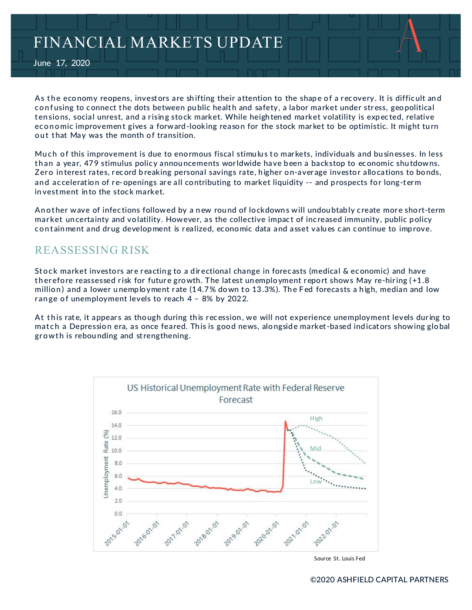# FINANCIAL MARKETS UPDATE

June 17, 2020

As the economy reopens, investors are shifting their attention to the shape of a recovery. It is difficult and confusing to connect the dots between public health and safety, a labor market under stress, geopolitical tensions, social unrest, and a rising stock market. While heightened market volatility is expected, relative economic improvement gives a forward-looking reason for the stock market to be optimistic. It might turn out that May was the month of transition.

Much of this improvement is due to enormous fiscal stimulus to markets, individuals and businesses. In less than a year, 479 stimulus policy announcements worldwide have been a backstop to economic shutdowns. Zero interest rates, record breaking personal savings rate, higher on-average investor allocations to bonds, and acceleration of re-openings are all contributing to market liquidity -- and prospects for long-term in vest ment in to the stock market.

An other wave of infections followed by a n ew round of lockdowns will undoubtably create more short-term mar ket un certainty and vo latility. However, as the collective impact of increased immunity, public p olicy containment and drug development is realized, economic data and asset values can continue to improve.

### REASSESSING RISK

Stock market investors are reacting to a directional change in forecasts (medical & economic) and have therefore reassessed risk for future growth. The latest unemployment report shows May re-hiring  $(+1.8$ million) and a lower unemployment rate  $(14.7\%$  down to 13.3%). The Fed forecasts a high, median and low range of unemployment levels to reach  $4 - 8\%$  by 2022.

At this rate, it appears as though during this recession, we will not experience unemployment levels during to match a Depression era, as once feared. This is good news, alongside market-based indicators showing global growth is rebounding and strengthening.



Source St. Louis Fed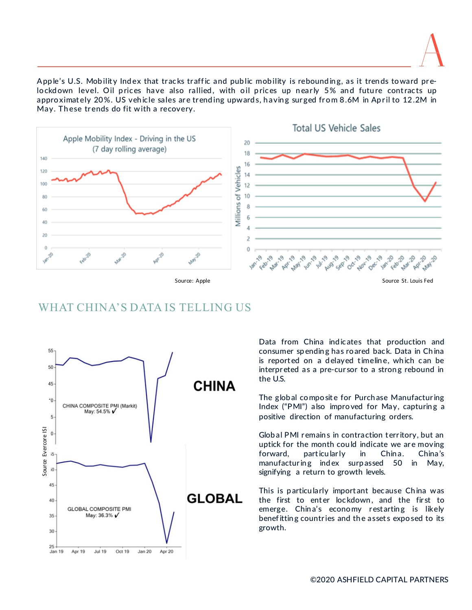Apple's U.S. Mobility Index that tracks traffic and public mobility is rebounding, as it trends toward prelockdown level. Oil prices have also rallied, with oil prices up nearly 5% and future contracts up appro ximately 20%. US vehicle sales are trending upwards, having surged from 8.6M in April to 12.2M in May. These trends do fit with a recovery.



# WHAT CHINA'S DATA IS TELLING US



Data from China ind icates that production and consumer sp endin g has ro ared back. Data in Ch ina is reported on a delayed timeline, which can be interpreted as a pre-cursor to a strong rebound in the U.S.

The glob al co mpo sit e for Purch ase Manufactur ing Index ("PMI") also improved for May, capturing a positive direction of manufacturing orders.

Glob al PMI r emain s in contraction t err itory, but an uptick for the month could indicate we are moving forward, particularly in China. China's manufacturing index surpassed 50 in May, signifying a return to growth levels.

This is particularly important because China was the first to enter lockdown, and the first to emerge. China's economy restarting is likely benef ittin g countr ies and the asset s expo sed to its growth.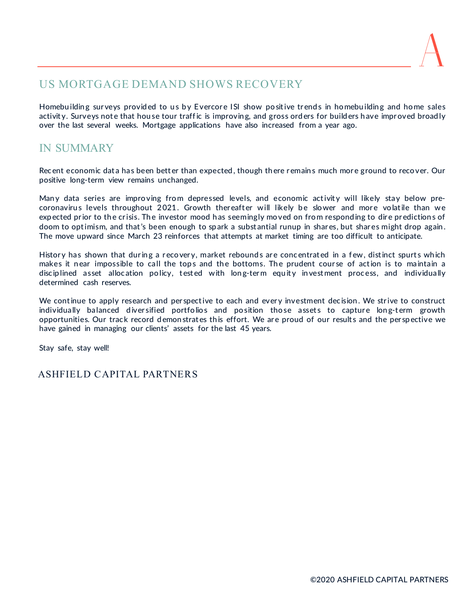#### US MORTGAGE DEMAND SHOWS RECOVERY

Homebuilding surveys provided to us by Evercore ISI show positive trends in homebuilding and home sales activity. Surveys note that house tour traffic is improving, and gross orders for builders have improved broadly over the last several weeks. Mortgage applications have also increased from a year ago.

# IN SUMMARY

Recent economic data has been better than expected, though there remains much more ground to recover. Our positive long-term view remains unchanged.

Many data series are improving from depressed levels, and economic activity will likely stay below precoronavirus levels throughout 2021. Growth thereafter will likely be slower and more volatile than we expected prior to the crisis. The investor mood has seemingly moved on from responding to dire predictions of doom to optimism, and that's been enough to spark a substantial runup in shares, but shares might drop again. The move upward since March 23 reinforces that attempts at market timing are too difficult to anticipate.

History has shown that during a recovery, market rebounds are concentrated in a few, distinct spurts which makes it near impossible to call the tops and the bottoms. The prudent course of action is to maintain a discip lined asset allocation policy, tested with long-term equity investment process, and individually determined cash reserves.

We continue to apply research and perspective to each and every investment decision. We strive to construct individually balanced diversified portfolios and position those assets to capture long-term growth opportunities. Our track record demonstrates this effort. We are proud of our results and the perspective we have gained in managing our clients' assets for the last 45 years.

Stay safe, stay well!

#### ASHFIELD CAPITAL PARTNERS